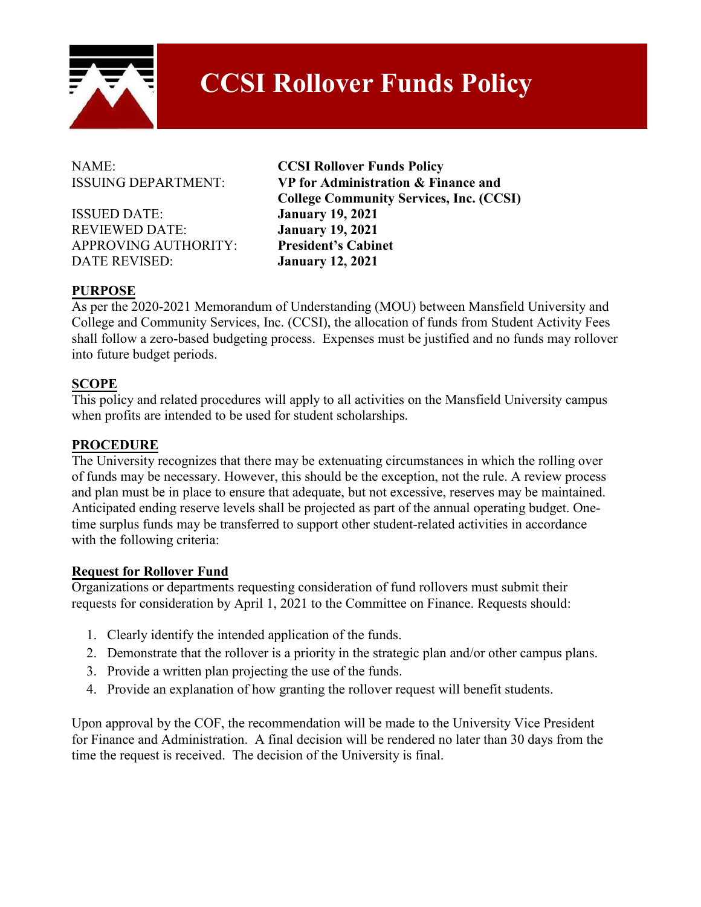

# **CCSI Rollover Funds Policy**

ISSUED DATE: **January 19, 2021**  REVIEWED DATE: **January 19, 2021**  APPROVING AUTHORITY: **President's Cabinet**  DATE REVISED: **January 12, 2021** 

NAME: **CCSI Rollover Funds Policy**  ISSUING DEPARTMENT: **VP for Administration & Finance and College Community Services, Inc. (CCSI)**

# **PURPOSE**

As per the 2020-2021 Memorandum of Understanding (MOU) between Mansfield University and College and Community Services, Inc. (CCSI), the allocation of funds from Student Activity Fees shall follow a zero-based budgeting process. Expenses must be justified and no funds may rollover into future budget periods.

# **SCOPE**

This policy and related procedures will apply to all activities on the Mansfield University campus when profits are intended to be used for student scholarships.

#### **PROCEDURE**

The University recognizes that there may be extenuating circumstances in which the rolling over of funds may be necessary. However, this should be the exception, not the rule. A review process and plan must be in place to ensure that adequate, but not excessive, reserves may be maintained. Anticipated ending reserve levels shall be projected as part of the annual operating budget. Onetime surplus funds may be transferred to support other student-related activities in accordance with the following criteria:

#### **Request for Rollover Fund**

Organizations or departments requesting consideration of fund rollovers must submit their requests for consideration by April 1, 2021 to the Committee on Finance. Requests should:

- 1. Clearly identify the intended application of the funds.
- 2. Demonstrate that the rollover is a priority in the strategic plan and/or other campus plans.
- 3. Provide a written plan projecting the use of the funds.
- 4. Provide an explanation of how granting the rollover request will benefit students.

Upon approval by the COF, the recommendation will be made to the University Vice President for Finance and Administration. A final decision will be rendered no later than 30 days from the time the request is received. The decision of the University is final.